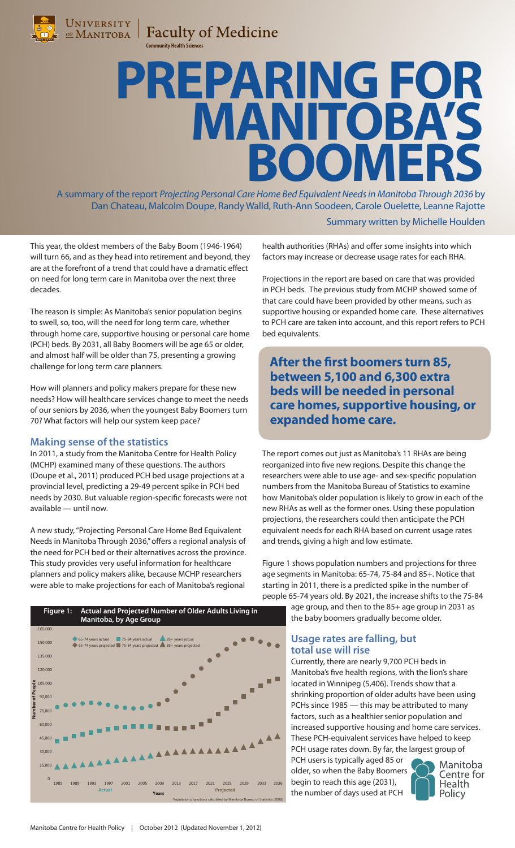

**Faculty of Medicine** 

### **Community Health Sciences**

# **Preparing for Manitoba's Boomers**

A summary of the report *Projecting Personal Care Home Bed Equivalent Needs in Manitoba Through 2036* by Dan Chateau, Malcolm Doupe, Randy Walld, Ruth-Ann Soodeen, Carole Ouelette, Leanne Rajotte

Summary written by Michelle Houlden

This year, the oldest members of the Baby Boom (1946-1964) will turn 66, and as they head into retirement and beyond, they are at the forefront of a trend that could have a dramatic effect on need for long term care in Manitoba over the next three decades.

The reason is simple: As Manitoba's senior population begins to swell, so, too, will the need for long term care, whether through home care, supportive housing or personal care home (PCH) beds. By 2031, all Baby Boomers will be age 65 or older, and almost half will be older than 75, presenting a growing challenge for long term care planners.

How will planners and policy makers prepare for these new needs? How will healthcare services change to meet the needs of our seniors by 2036, when the youngest Baby Boomers turn 70? What factors will help our system keep pace?

# **Making sense of the statistics**

In 2011, a study from the Manitoba Centre for Health Policy (MCHP) examined many of these questions. The authors (Doupe et al., 2011) produced PCH bed usage projections at a provincial level, predicting a 29-49 percent spike in PCH bed needs by 2030. But valuable region-specific forecasts were not available — until now.

A new study, "Projecting Personal Care Home Bed Equivalent Needs in Manitoba Through 2036," offers a regional analysis of the need for PCH bed or their alternatives across the province. This study provides very useful information for healthcare planners and policy makers alike, because MCHP researchers were able to make projections for each of Manitoba's regional



**Making sense of the statistics** factors may increase or decrease usage rates for each RHA. health authorities (RHAs) and offer some insights into which

Projections in the report are based on care that was provided **et al., 2011) produced PCH bed usage projections at a provincial**  in PCH beds. The previous study from MCHP showed some of **2030. But valuable region-specific forecasts were not available**  that care could have been provided by other means, such as supportive housing or expanded home care. These alternatives **A new study, "Projection**" is a new study, "Personal CH care and CH care in Personal CH care in Personal CH care in Personal CH care in Personal CH care in Personal CH care in Personal CH care in Personal CH care in Perso to PCH care are taken into account, and this report refers to PCH<br>. bed equivalents. **Example 20** 

**This study provides very useful information for healthcare** 

**After the first boomers turn 85, between 5,100 and 6,300 extra beds will be needed in personal care homes, supportive housing, or expanded home care.**

The report comes out just as Manitoba's 11 RHAs are being reorganized into five new regions. Despite this change the **health authorities (RHAs) and offer some insights into which**  researchers were able to use age- and sex-specific population numbers from the Manitoba Bureau of Statistics to examine how Manitoba's older population is likely to grow in each of the **that care could have been provided by other means, such as**  new RHAs as well as the former ones. Using these population projections, the researchers could then anticipate the PCH equivalent needs for each RHA based on current usage rates **The report computer computer computer** and trends, giving a high and low estimate.

Figure 1 shows population numbers and projections for three **how Manitoba's older population is likely to grow in each of the**  age segments in Manitoba: 65-74, 75-84 and 85+. Notice that **new RHAS as well as the former ones. Using the former ones.** starting in 2011, there is a predicted spike in the number of people 65-74 years old. By 2021, the increase shifts to the 75-84

age group, and then to the 85+ age group in 2031 as **Figure 1 shows population numbers and projections for**  the baby boomers gradually become older.

# **Usage rates are falling, but increase increase to the 15-84 age of the 85-84 and the 85-84 and then to the 85-84 and the 85-84 and the 85-84 and the 85-84 and the 85-84 and the 85-84 and the 85-84 and the 85-84 and the 85-85-85-85-85-85-85-85-85-85-8**

**age group in 2031 as the baby boomers gradually become older.**  Currently, there are nearly 9,700 PCH beds in Manitoba's five health regions, with the lion's share located in Winnipeg (5,406). Trends show that a **five health regions, with the lion's share located in Winnipeg (5,406). Trends show that a shrinking proportion**  shrinking proportion of older adults have been using PCHs since 1985 — this may be attributed to many factors, such as a healthier senior population and **senior population and increased supportive housing and**  increased supportive housing and home care services. These PCH-equivalent services have helped to keep PCH usage rates down. By far, the largest group of

**DCH** users is typically aged 85 o **PCH users is typically aged 85 or** older, so when the Baby Boomers begin to reach this age (2031), **The number of days used at 1** the number of days used at PCH